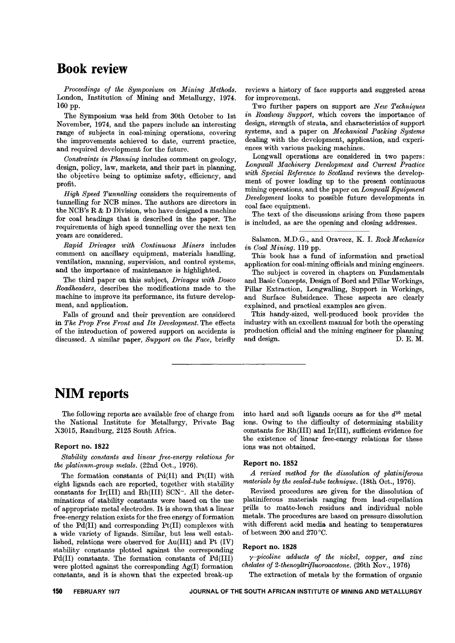## **Book review**

*Proceedings of the Symposium on Mining Methods.* London, Institution of Mining and Metallurgy, 1974. 160 pp.

The Symposium was held from 30th October to 1st November, 1974, and the papers include an interesting range of subjects in coal-mining operations, covering the improvements achieved to date, current practice, and required development for the future.

*Constraints in Planning* includes comment on geology, design, policy, law, markets, and their part in planning, the objective being to optimize safety, efficiency, and profit.

*High Speed Tunnelling* considers the requirements of tunnelling for NCB mines. The authors are directors in the NCB's R & D Division, who have designed a machine for coal headings that is described in the paper. The requirements of high speed tunnelling over the next ten years are considered.

*Rapid Drivages with Continuous Miners* includes comment on ancillary equipment, materials handling, ventilation, manning, supervision, and control systems, and the importance of maintenance is highlighted.

The third paper on this subject, *Drivages with Dosco Roadheaders,* describes the modifications made to the machine to improve its performance, its future development, and application.

Falls of ground and their prevention are considered in *The Prop Free Front and Its Development.* The effects of the introduction of powered support on accidents is discussed. A similar paper, *Support on the Face,* briefly

reviews a history of face supports and suggested areas for improvement.

Two further papers on support are *New Techniques in Roadway Support,* which covers the importance of design, strength of strata, and characteristics of support systems, and a paper on *Mechanical Packing Systems* dealing with the development, application, and experiences with various packing machines.

Longwall operations are considered in two papers: *Longwall Machinery Development and Current Practice with Special Reference to Scotland* reviews the development of power loading up to the present continuous mining operations, and the paper on *Longwall Equipment Development* looks to possible future developments in coal face equipment.

The text of the discussions arising from these papers is included, as are the opening and closing addresses.

Salamon, M.D.G., and Oravecz, K. 1. *Rock Mechanics in Coal Mining.* 119 pp.

This book has a fund of information and practical application for coal-mining officials and mining engineers.

The subject is covered in chapters on Fundamentals and Basic Concepts, Design of Bord and Pillar Workings, Pillar Extraction, Longwalling, Support in Workings, and Surface Subsidence. These aspects are clearly explained, and practical examples are given.

This handy-sized, well-produced book provides the industry with an excellent manual for both the operating production official and the mining engineer for planning and design. D. E. M.

# **NIM reports**

The following reports are available free of charge from the National Institute for Metallurgy, Private Bag X30l5, Randburg, 2125 South Africa.

### Report no. 1822

*Stability constants and linear free-energy relations for the platimtm-group metals.* (22nd Oct., 1976).

The formation constants of Pd(II) and Pt(II) with eight ligands each are reported, together with stability constants for Ir(III) and Rh(III) SCN-. All the deter. minations of stability constants were based on the use of appropriate metal electrodes. It is shown that a linear free-energy relation exists for the free energy of formation of the Pd(II) and corresponding Pt(II) complexes with a wide variety of ligands. Similar, but less well established, relations were observed for Au(III) and Pt (IV) stability constants plotted against the corresponding Pd(II) constants. The formation constants of Pd(III) were plotted against the corresponding Ag(I) formation constants, and it is shown that the expected break-up

into hard and soft ligands occurs as for the  $d^{10}$  metal ions. Owing to the difficulty of determining stability constants for Rh(III) and Ir(III), sufficient evidence for the existence of linear free-energy relations for these ions was not obtained.

#### Report no. 1852

*A revised method for the dissolution of platiniferous materials by the sealed-tube technique.* (18th Oct., 1976).

Revised procedures are given for the dissolution of platiniferous materials ranging from lead-cupellation prills to matte-leach residues and individual noble metals. The procedures are based on pressure dissolution with different acid media and heating to temperatures of between 200 and 270 °C.

#### Report no. 1828

*y-picoline adducts of the nickel, copper, and zinc chelates of 2-thenoyltrifluoroacetone.* (26th Nov., 1976)

The extraction of metals by the formation of organic